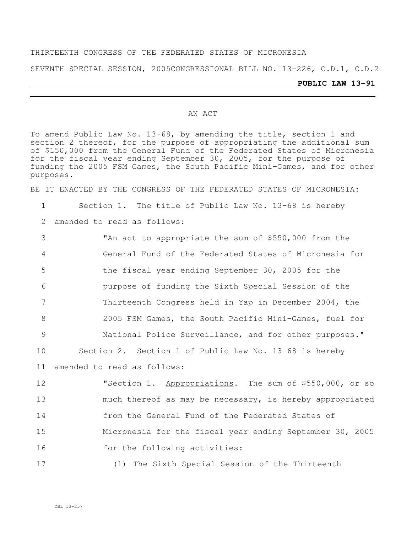#### THIRTEENTH CONGRESS OF THE FEDERATED STATES OF MICRONESIA

SEVENTH SPECIAL SESSION, 2005CONGRESSIONAL BILL NO. 13-226, C.D.1, C.D.2

#### AN ACT

To amend Public Law No. 13-68, by amending the title, section 1 and section 2 thereof, for the purpose of appropriating the additional sum of \$150,000 from the General Fund of the Federated States of Micronesia for the fiscal year ending September 30, 2005, for the purpose of funding the 2005 FSM Games, the South Pacific Mini-Games, and for other purposes.

BE IT ENACTED BY THE CONGRESS OF THE FEDERATED STATES OF MICRONESIA:

1 Section 1. The title of Public Law No. 13-68 is hereby

2 amended to read as follows:

 "An act to appropriate the sum of \$550,000 from the General Fund of the Federated States of Micronesia for the fiscal year ending September 30, 2005 for the purpose of funding the Sixth Special Session of the Thirteenth Congress held in Yap in December 2004, the 2005 FSM Games, the South Pacific Mini-Games, fuel for National Police Surveillance, and for other purposes." Section 2. Section 1 of Public Law No. 13-68 is hereby amended to read as follows:

 "Section 1. Appropriations. The sum of \$550,000, or so much thereof as may be necessary, is hereby appropriated from the General Fund of the Federated States of Micronesia for the fiscal year ending September 30, 2005 16 for the following activities:

17 (1) The Sixth Special Session of the Thirteenth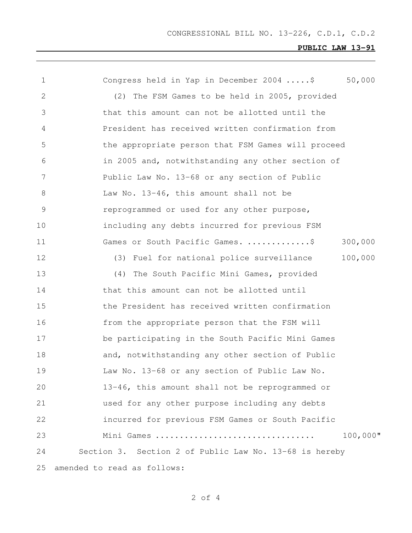# **PUBLIC LAW 13-91**

| 1             | 50,000<br>Congress held in Yap in December 2004 \$     |
|---------------|--------------------------------------------------------|
| 2             | (2) The FSM Games to be held in 2005, provided         |
| 3             | that this amount can not be allotted until the         |
| 4             | President has received written confirmation from       |
| 5             | the appropriate person that FSM Games will proceed     |
| 6             | in 2005 and, notwithstanding any other section of      |
| 7             | Public Law No. 13-68 or any section of Public          |
| 8             | Law No. 13-46, this amount shall not be                |
| $\mathcal{G}$ | reprogrammed or used for any other purpose,            |
| 10            | including any debts incurred for previous FSM          |
| 11            | Games or South Pacific Games. \$<br>300,000            |
| 12            | 100,000<br>(3) Fuel for national police surveillance   |
| 13            | (4)<br>The South Pacific Mini Games, provided          |
| 14            | that this amount can not be allotted until             |
| 15            | the President has received written confirmation        |
| 16            | from the appropriate person that the FSM will          |
| 17            | be participating in the South Pacific Mini Games       |
| 18            | and, notwithstanding any other section of Public       |
| 19            | Law No. 13-68 or any section of Public Law No.         |
| 20            | 13-46, this amount shall not be reprogrammed or        |
| 21            | used for any other purpose including any debts         |
| 22            | incurred for previous FSM Games or South Pacific       |
| 23            | 100,000"<br>Mini Games                                 |
| 24            | Section 3. Section 2 of Public Law No. 13-68 is hereby |
| 25            | amended to read as follows:                            |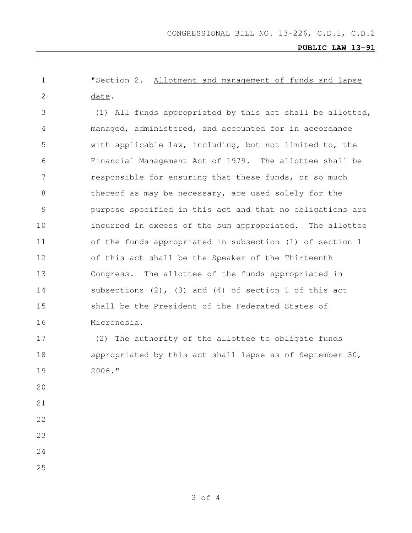CONGRESSIONAL BILL NO. 13-226, C.D.1, C.D.2

**PUBLIC LAW 13-91**

 "Section 2. Allotment and management of funds and lapse date. (1) All funds appropriated by this act shall be allotted, managed, administered, and accounted for in accordance with applicable law, including, but not limited to, the Financial Management Act of 1979. The allottee shall be 7 responsible for ensuring that these funds, or so much thereof as may be necessary, are used solely for the purpose specified in this act and that no obligations are incurred in excess of the sum appropriated. The allottee of the funds appropriated in subsection (1) of section 1 of this act shall be the Speaker of the Thirteenth Congress. The allottee of the funds appropriated in subsections (2), (3) and (4) of section 1 of this act shall be the President of the Federated States of

Micronesia.

 (2) The authority of the allottee to obligate funds appropriated by this act shall lapse as of September 30, 2006."

- 
- 
- 
- 
- 
- 

of 4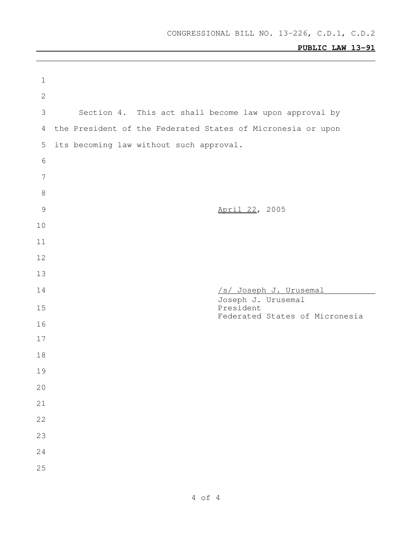# **PUBLIC LAW 13-91**

| $\mathbf 1$     |                                                             |
|-----------------|-------------------------------------------------------------|
| $\sqrt{2}$      |                                                             |
| 3               | Section 4. This act shall become law upon approval by       |
| 4               | the President of the Federated States of Micronesia or upon |
| 5               | its becoming law without such approval.                     |
| $\sqrt{6}$      |                                                             |
| $7\phantom{.0}$ |                                                             |
| $\,8\,$         |                                                             |
| $\mathcal{G}$   | April 22, 2005                                              |
| 10              |                                                             |
| 11              |                                                             |
| 12              |                                                             |
| 13              |                                                             |
|                 |                                                             |
| 14              | /s/ Joseph J. Urusemal                                      |
| 15              | Joseph J. Urusemal<br>President                             |
| 16              | Federated States of Micronesia                              |
| 17              |                                                             |
| 18              |                                                             |
| 19              |                                                             |
| 20              |                                                             |
| 21              |                                                             |
| 22              |                                                             |
| 23              |                                                             |
| 24              |                                                             |